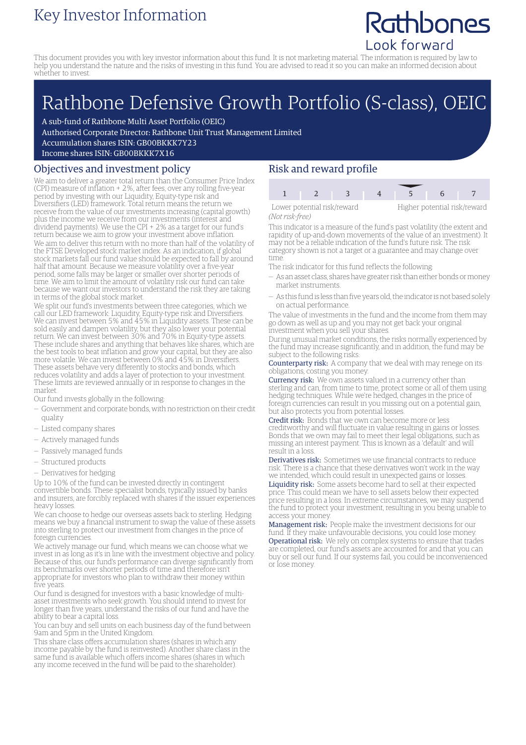### Key Investor Information

## Rathbones Look forward

This document provides you with key investor information about this fund. It is not marketing material. The information is required by law to help you understand the nature and the risks of investing in this fund. You are advised to read it so you can make an informed decision about whether to invest.

# Rathbone Defensive Growth Portfolio (S-class), OEIC

A sub-fund of Rathbone Multi Asset Portfolio (OEIC)

Authorised Corporate Director: Rathbone Unit Trust Management Limited

Accumulation shares ISIN: GB00BKKK7Y23

Income shares ISIN: GB00BKKK7X16

#### Objectives and investment policy

We aim to deliver a greater total return than the Consumer Price Index (CPI) measure of inflation + 2%, after fees, over any rolling five-year period by investing with our Liquidity, Equity-type risk and Diversifiers (LED) framework. Total return means the return we receive from the value of our investments increasing (capital growth) plus the income we receive from our investments (interest and dividend payments). We use the CPI + 2% as a target for our fund's return because we aim to grow your investment above inflation. We aim to deliver this return with no more than half of the volatility of the FTSE Developed stock market index. As an indication, if global stock markets fall our fund value should be expected to fall by around half that amount. Because we measure volatility over a five-year period, some falls may be larger or smaller over shorter periods of time. We aim to limit the amount of volatility risk our fund can take because we want our investors to understand the risk they are taking in terms of the global stock market.

We split our fund's investments between three categories, which we call our LED framework: Liquidity, Equity-type risk and Diversifiers. We can invest between 5% and 45% in Liquidity assets. These can be sold easily and dampen volatility, but they also lower your potential return. We can invest between 30% and 70% in Equity-type assets. These include shares and anything that behaves like shares, which are the best tools to beat inflation and grow your capital, but they are also more volatile. We can invest between 0% and 45% in Diversifiers. These assets behave very differently to stocks and bonds, which reduces volatility and adds a layer of protection to your investment. These limits are reviewed annually or in response to changes in the market.

Our fund invests globally in the following:

- Government and corporate bonds, with no restriction on their credit quality
- Listed company shares
- Actively managed funds
- Passively managed funds
- Structured products
- Derivatives for hedging

Up to 10% of the fund can be invested directly in contingent convertible bonds. These specialist bonds, typically issued by banks and insurers, are forcibly replaced with shares if the issuer experiences heavy losses.

We can choose to hedge our overseas assets back to sterling. Hedging means we buy a financial instrument to swap the value of these assets into sterling to protect our investment from changes in the price of foreign currencies.

We actively manage our fund, which means we can choose what we invest in as long as it's in line with the investment objective and policy. Because of this, our fund's performance can diverge significantly from its benchmarks over shorter periods of time and therefore isn't appropriate for investors who plan to withdraw their money within five years.

Our fund is designed for investors with a basic knowledge of multiasset investments who seek growth. You should intend to invest for longer than five years, understand the risks of our fund and have the ability to bear a capital loss.

You can buy and sell units on each business day of the fund between 9am and 5pm in the United Kingdom.

This share class offers accumulation shares (shares in which any income payable by the fund is reinvested). Another share class in the same fund is available which offers income shares (shares in which any income received in the fund will be paid to the shareholder).

#### Risk and reward profile

1 2 3 4 5 6

Lower potential risk/reward Higher potential risk/reward

*(Not risk-free)*

This indicator is a measure of the fund's past volatility (the extent and rapidity of up-and-down movements of the value of an investment). It may not be a reliable indication of the fund's future risk. The risk category shown is not a target or a guarantee and may change over

time. The risk indicator for this fund reflects the following:

- As an asset class, shares have greater risk than either bonds ormoney
- market instruments.
- As this fund is less than five years old, the indicator is not based solely on actual performance.

The value of investments in the fund and the income from them may go down as well as up and you may not get back your original investment when you sell your shares.

During unusual market conditions, the risks normally experienced by the fund may increase significantly, and in addition, the fund may be subject to the following risks:

Counterparty risk: A company that we deal with may renege on its obligations, costing you money.

Currency risk: We own assets valued in a currency other than sterling and can, from time to time, protect some or all of them using hedging techniques. While we're hedged, changes in the price of foreign currencies can result in you missing out on a potential gain, but also protects you from potential losses.

Credit risk: Bonds that we own can become more or less creditworthy and will fluctuate in value resulting in gains or losses. Bonds that we own may fail to meet their legal obligations, such as missing an interest payment. This is known as a 'default' and will result in a loss.

Derivatives risk: Sometimes we use financial contracts to reduce risk. There is a chance that these derivatives won't work in the way we intended, which could result in unexpected gains or losses.

Liquidity risk: Some assets become hard to sell at their expected price. This could mean we have to sell assets below their expected price resulting in a loss. In extreme circumstances, we may suspend the fund to protect your investment, resulting in you being unable to access your money.

Management risk: People make the investment decisions for our fund. If they make unfavourable decisions, you could lose money. Operational risk: We rely on complex systems to ensure that trades are completed, our fund's assets are accounted for and that you can buy or sell our fund. If our systems fail, you could be inconvenienced or lose money.